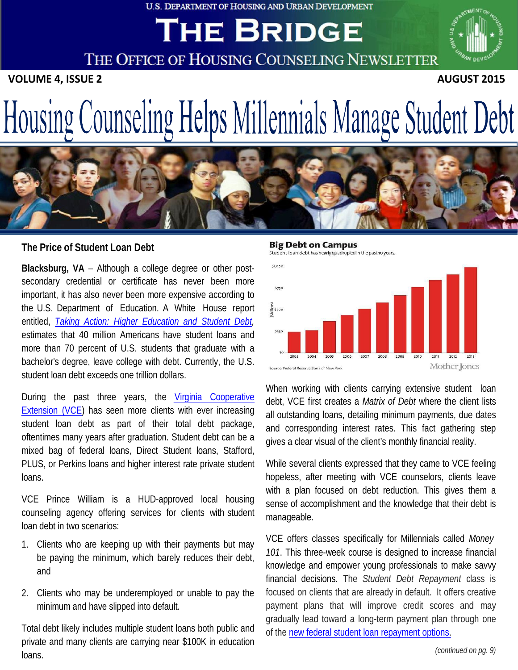#### **U.S. DEPARTMENT OF HOUSING AND URBAN DEVELOPMENT**

# **THE BRIDGE**

THE OFFICE OF HOUSING COUNSELING NEWSLETTER

**VOLUME 4, ISSUE 2 AUGUST 2015** 



# Housing Counseling Helps Millennials Manage Student Debt



### **The Price of Student Loan Debt**

 **Blacksburg, VA** – Although a college degree or other post- secondary credential or certificate has never been more important, it has also never been more expensive according to the U.S. Department of Education. A White House report  entitled, *[Taking Action: Higher Education and Student Debt,](https://www.whitehouse.gov/sites/default/files/docs/studentdebtreport.pdf)*  estimates that 40 million Americans have student loans and more than 70 percent of U.S. students that graduate with a bachelor's degree, leave college with debt. Currently, the U.S. student loan debt exceeds one trillion dollars.

During the past three years, the Virginia Cooperative **[Extension \(VCE\)](http://www.pwcgov.org/government/dept/vce/Pages/Personal-Finance-and-Housing-Counseling.aspx)** has seen more clients with ever increasing student loan debt as part of their total debt package, oftentimes many years after graduation. Student debt can be a mixed bag of federal loans, Direct Student loans, Stafford, PLUS, or Perkins loans and higher interest rate private student loans.

 VCE Prince William is a HUD-approved local housing counseling agency offering services for clients with student loan debt in two scenarios:

- 1. Clients who are keeping up with their payments but may be paying the minimum, which barely reduces their debt, and
- 2. Clients who may be underemployed or unable to pay the minimum and have slipped into default.

 Total debt likely includes multiple student loans both public and private and many clients are carrying near \$100K in education loans.

**Big Debt on Campus** 



 When working with clients carrying extensive student loan debt, VCE first creates a *Matrix of Debt* where the client lists all outstanding loans, detailing minimum payments, due dates and corresponding interest rates. This fact gathering step gives a clear visual of the client's monthly financial reality.

 While several clients expressed that they came to VCE feeling hopeless, after meeting with VCE counselors, clients leave with a plan focused on debt reduction. This gives them a sense of accomplishment and the knowledge that their debt is manageable.

 VCE offers classes specifically for Millennials called *Money 101*. This three-week course is designed to increase financial knowledge and empower young professionals to make savvy financial decisions. The *Student Debt Repayment* class is focused on clients that are already in default. It offers creative payment plans that will improve credit scores and may gradually lead toward a long-term payment plan through one of the new federal student loan repayment options.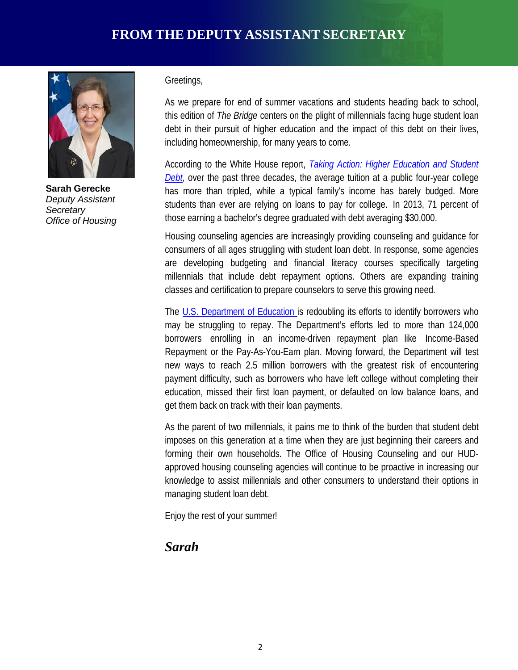

 **Sarah Gerecke**   *Deputy Assistant Office of Housing Secretary* 

#### Greetings,

 As we prepare for end of summer vacations and students heading back to school,  this edition of *The Bridge* centers on the plight of millennials facing huge student loan debt in their pursuit of higher education and the impact of this debt on their lives, including homeownership, for many years to come.

 According to the White House report, *[Taking Action: Higher Education and Student](https://www.whitehouse.gov/sites/default/files/docs/studentdebtreport.pdf)  Debt*, over the past three decades, the average tuition at a public four-year college has more than tripled, while a typical family's income has barely budged. More students than ever are relying on loans to pay for college. In 2013, 71 percent of those earning a bachelor's degree graduated with debt averaging \$30,000.

 Housing counseling agencies are increasingly providing counseling and guidance for consumers of all ages struggling with student loan debt. In response, some agencies are developing budgeting and financial literacy courses specifically targeting millennials that include debt repayment options. Others are expanding training classes and certification to prepare counselors to serve this growing need.

The [U.S. Department of Education is](https://studentaid.ed.gov/sa/repay-loans/understand/plans/income-driven) redoubling its efforts to identify borrowers who may be struggling to repay. The Department's efforts led to more than 124,000 borrowers enrolling in an income-driven repayment plan like Income-Based Repayment or the Pay-As-You-Earn plan. Moving forward, the Department will test new ways to reach 2.5 million borrowers with the greatest risk of encountering payment difficulty, such as borrowers who have left college without completing their education, missed their first loan payment, or defaulted on low balance loans, and get them back on track with their loan payments.

 As the parent of two millennials, it pains me to think of the burden that student debt imposes on this generation at a time when they are just beginning their careers and forming their own households. The Office of Housing Counseling and our HUD- approved housing counseling agencies will continue to be proactive in increasing our knowledge to assist millennials and other consumers to understand their options in managing student loan debt.

Enjoy the rest of your summer!

# *Sarah*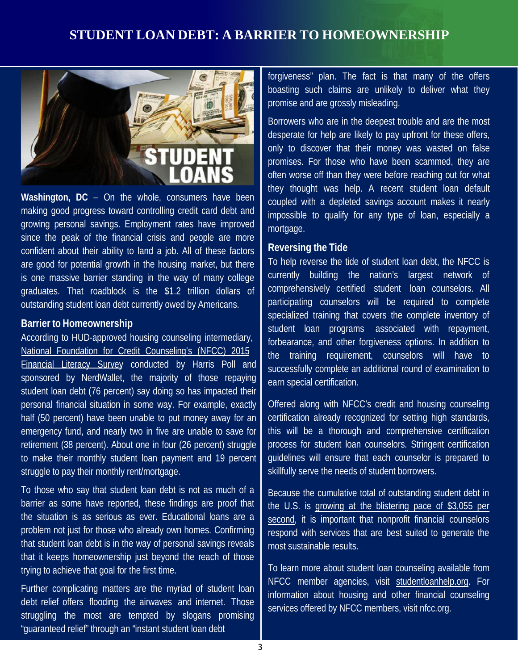# **STUDENT LOAN DEBT: A BARRIER TO HOMEOWNERSHIP**



**Washington, DC** – On the whole, consumers have been making good progress toward controlling credit card debt and growing personal savings. Employment rates have improved since the peak of the financial crisis and people are more confident about their ability to land a job. All of these factors are good for potential growth in the housing market, but there is one massive barrier standing in the way of many college graduates. That roadblock is the \$1.2 trillion dollars of outstanding student loan debt currently owed by Americans.

#### **Barrier to Homeownership**

 According to HUD-approved housing counseling intermediary, [National Foundation for Credit Counseling's \(NFCC\) 2015](https://www.nfcc.org/wp-content/uploads/2015/04/NFCC_2015_Financial_Literacy_Survey_FINAL.pdf)  [Financial Literacy Survey](https://www.nfcc.org/wp-content/uploads/2015/04/NFCC_2015_Financial_Literacy_Survey_FINAL.pdf) conducted by Harris Poll and sponsored by NerdWallet, the majority of those repaying student loan debt (76 percent) say doing so has impacted their personal financial situation in some way. For example, exactly half (50 percent) have been unable to put money away for an emergency fund, and nearly two in five are unable to save for retirement (38 percent). About one in four (26 percent) struggle to make their monthly student loan payment and 19 percent struggle to pay their monthly rent/mortgage.

To those who say that student loan debt is not as much of a barrier as some have reported, these findings are proof that the situation is as serious as ever. Educational loans are a problem not just for those who already own homes. Confirming that student loan debt is in the way of personal savings reveals that it keeps homeownership just beyond the reach of those trying to achieve that goal for the first time.

Further complicating matters are the myriad of student loan debt relief offers flooding the airwaves and internet. Those struggling the most are tempted by slogans promising "guaranteed relief" through an "instant student loan debt

 forgiveness" plan. The fact is that many of the offers boasting such claims are unlikely to deliver what they promise and are grossly misleading.

Borrowers who are in the deepest trouble and are the most desperate for help are likely to pay upfront for these offers, only to discover that their money was wasted on false promises. For those who have been scammed, they are often worse off than they were before reaching out for what they thought was help. A recent student loan default coupled with a depleted savings account makes it nearly impossible to qualify for any type of loan, especially a mortgage.

#### **Reversing the Tide**

To help reverse the tide of student loan debt, the NFCC is currently building the nation's largest network of comprehensively certified student loan counselors. All participating counselors will be required to complete specialized training that covers the complete inventory of student loan programs associated with repayment, forbearance, and other forgiveness options. In addition to the training requirement, counselors will have to successfully complete an additional round of examination to earn special certification.

Offered along with NFCC's credit and housing counseling certification already recognized for setting high standards, this will be a thorough and comprehensive certification process for student loan counselors. Stringent certification guidelines will ensure that each counselor is prepared to skillfully serve the needs of student borrowers.

 Because the cumulative total of outstanding student debt in the U.S. is [growing at the blistering pace of \\$3,055 per](http://www.marketwatch.com/story/every-second-americans-get-buried-under-another-3055-in-student-loan-debt-2015-06-10)  [second,](http://www.marketwatch.com/story/every-second-americans-get-buried-under-another-3055-in-student-loan-debt-2015-06-10) it is important that nonprofit financial counselors respond with services that are best suited to generate the most sustainable results.

 To learn more about student loan counseling available from NFCC member agencies, visit [studentloanhelp.org.](http://studentloanhelp.org/) For information about housing and other financial counseling services offered by NFCC members, visit [nfcc.org.](http://www.nfcc.org/)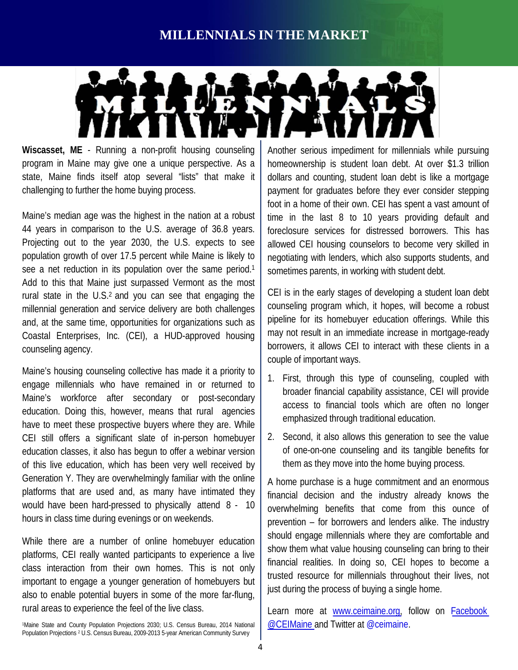# **MILLENNIALS IN THE MARKET**



Wiscasset, ME - Running a non-profit housing counseling program in Maine may give one a unique perspective. As a state, Maine finds itself atop several "lists" that make it challenging to further the home buying process.

 Maine's median age was the highest in the nation at a robust 44 years in comparison to the U.S. average of 36.8 years. Projecting out to the year 2030, the U.S. expects to see population growth of over 17.5 percent while Maine is likely to see a net reduction in its population over the same period.<sup>1</sup> Add to this that Maine just surpassed Vermont as the most rural state in the U.S.<sup>2</sup> and you can see that engaging the millennial generation and service delivery are both challenges and, at the same time, opportunities for organizations such as Coastal Enterprises, Inc. (CEI), a HUD-approved housing counseling agency.

 Maine's housing counseling collective has made it a priority to engage millennials who have remained in or returned to Maine's workforce after secondary or post-secondary education. Doing this, however, means that rural agencies have to meet these prospective buyers where they are. While CEI still offers a significant slate of in-person homebuyer education classes, it also has begun to offer a webinar version of this live education, which has been very well received by Generation Y. They are overwhelmingly familiar with the online platforms that are used and, as many have intimated they would have been hard-pressed to physically attend 8 - 10 hours in class time during evenings or on weekends.

 While there are a number of online homebuyer education platforms, CEI really wanted participants to experience a live class interaction from their own homes. This is not only important to engage a younger generation of homebuyers but also to enable potential buyers in some of the more far-flung, rural areas to experience the feel of the live class.

 1Maine State and County Population Projections 2030; U.S. Census Bureau, 2014 National Population Projections 2 U.S. Census Bureau, 2009-2013 5-year American Community Survey

 Another serious impediment for millennials while pursuing homeownership is student loan debt. At over \$1.3 trillion dollars and counting, student loan debt is like a mortgage payment for graduates before they ever consider stepping foot in a home of their own. CEI has spent a vast amount of time in the last 8 to 10 years providing default and foreclosure services for distressed borrowers. This has allowed CEI housing counselors to become very skilled in negotiating with lenders, which also supports students, and sometimes parents, in working with student debt.

 CEI is in the early stages of developing a student loan debt counseling program which, it hopes, will become a robust pipeline for its homebuyer education offerings. While this may not result in an immediate increase in mortgage-ready borrowers, it allows CEI to interact with these clients in a couple of important ways.

- 1.First, through this type of counseling, coupled with broader financial capability assistance, CEI will provide access to financial tools which are often no longer emphasized through traditional education.
- 2. Second, it also allows this generation to see the value of one-on-one counseling and its tangible benefits for them as they move into the home buying process.

 A home purchase is a huge commitment and an enormous financial decision and the industry already knows the overwhelming benefits that come from this ounce of prevention – for borrowers and lenders alike. The industry should engage millennials where they are comfortable and show them what value housing counseling can bring to their financial realities. In doing so, CEI hopes to become a trusted resource for millennials throughout their lives, not just during the process of buying a single home.

Learn more at [www.ceimaine.org,](http://www.ceimaine.org) follow on Facebook [@CEIMaine a](https://www.facebook.com/CEIMaine)nd Twitter at [@ceimaine](https://twitter.com/CEIMaine?lang=en).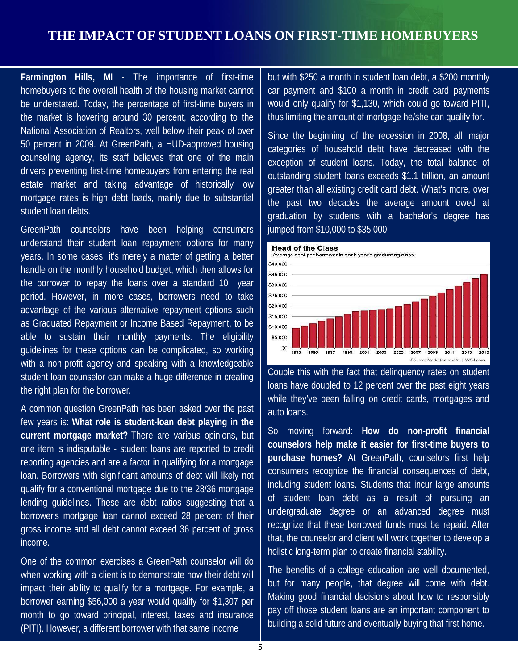# **THE IMPACT OF STUDENT LOANS ON FIRST-TIME HOMEBUYERS**

 **Farmington Hills, MI** - The importance of first-time homebuyers to the overall health of the housing market cannot be understated. Today, the percentage of first-time buyers in the market is hovering around 30 percent, according to the National Association of Realtors, well below their peak of over 50 percent in 2009. At [GreenPath,](http://www.greenpath.com/) a HUD-approved housing counseling agency, its staff believes that one of the main drivers preventing first-time homebuyers from entering the real estate market and taking advantage of historically low mortgage rates is high debt loads, mainly due to substantial student loan debts.

GreenPath counselors have been helping consumers understand their student loan repayment options for many years. In some cases, it's merely a matter of getting a better handle on the monthly household budget, which then allows for the borrower to repay the loans over a standard 10 year period. However, in more cases, borrowers need to take advantage of the various alternative repayment options such as Graduated Repayment or Income Based Repayment, to be able to sustain their monthly payments. The eligibility guidelines for these options can be complicated, so working with a non-profit agency and speaking with a knowledgeable student loan counselor can make a huge difference in creating the right plan for the borrower.

A common question GreenPath has been asked over the past few years is: **What role is student-loan debt playing in the current mortgage market?** There are various opinions, but one item is indisputable - student loans are reported to credit reporting agencies and are a factor in qualifying for a mortgage loan. Borrowers with significant amounts of debt will likely not qualify for a conventional mortgage due to the 28/36 mortgage lending guidelines. These are debt ratios suggesting that a borrower's mortgage loan cannot exceed 28 percent of their gross income and all debt cannot exceed 36 percent of gross income.

One of the common exercises a GreenPath counselor will do when working with a client is to demonstrate how their debt will impact their ability to qualify for a mortgage. For example, a borrower earning \$56,000 a year would qualify for \$1,307 per month to go toward principal, interest, taxes and insurance (PITI). However, a different borrower with that same income

but with \$250 a month in student loan debt, a \$200 monthly car payment and \$100 a month in credit card payments would only qualify for \$1,130, which could go toward PITI, thus limiting the amount of mortgage he/she can qualify for.

Since the beginning of the recession in 2008, all major categories of household debt have decreased with the exception of student loans. Today, the total balance of outstanding student loans exceeds \$1.1 trillion, an amount greater than all existing credit card debt. What's more, over the past two decades the average amount owed at graduation by students with a bachelor's degree has jumped from \$10,000 to \$35,000.



Couple this with the fact that delinquency rates on student loans have doubled to 12 percent over the past eight years while they've been falling on credit cards, mortgages and auto loans.

So moving forward: **How do non-profit financial counselors help make it easier for first-time buyers to purchase homes?** At GreenPath, counselors first help consumers recognize the financial consequences of debt, including student loans. Students that incur large amounts of student loan debt as a result of pursuing an undergraduate degree or an advanced degree must recognize that these borrowed funds must be repaid. After that, the counselor and client will work together to develop a holistic long-term plan to create financial stability. Head of the Class<br>Average delter borrower in each ye<br>
\$40,000<br>
\$5,000<br>
\$5,000<br>
\$5,000<br>
\$5,000<br>
\$5,000<br>
\$5,000<br>
\$5,000<br>
\$5,000<br>
\$5,000<br>
\$5,000<br>
\$5,000<br>
\$5,000<br>
\$5,000<br>
\$5,000<br>
\$5,000<br>
\$5,000<br>
\$5,000<br>
\$5,000<br>
\$5,000<br>
\$5,000<br>

The benefits of a college education are well documented, but for many people, that degree will come with debt. Making good financial decisions about how to responsibly pay off those student loans are an important component to building a solid future and eventually buying that first home.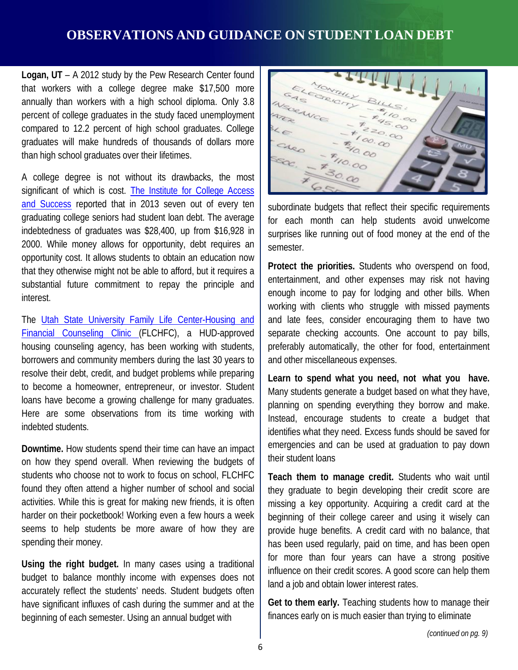# **OBSERVATIONS AND GUIDANCE ON STUDENT LOAN DEBT**

 **Logan, UT** – A 2012 study by the Pew Research Center found that workers with a college degree make \$17,500 more annually than workers with a high school diploma. Only 3.8 percent of college graduates in the study faced unemployment compared to 12.2 percent of high school graduates. College than high school graduates over their lifetimes. graduates will make hundreds of thousands of dollars more

 A college degree is not without its drawbacks, the most significant of which is cost. **The Institute for College Access** [and Success](http://ticas.org/) reported that in 2013 seven out of every ten graduating college seniors had student loan debt. The average indebtedness of graduates was \$28,400, up from \$16,928 in 2000. While money allows for opportunity, debt requires an opportunity cost. It allows students to obtain an education now that they otherwise might not be able to afford, but it requires a substantial future commitment to repay the principle and interest.

The Utah State University Family Life Center-Housing and [Financial Counseling Clinic \(](http://www.usu.edu/fchd/community/housing/types.cfm)FLCHFC), a HUD-approved housing counseling agency, has been working with students, borrowers and community members during the last 30 years to resolve their debt, credit, and budget problems while preparing to become a homeowner, entrepreneur, or investor. Student loans have become a growing challenge for many graduates. Here are some observations from its time working with indebted students.

 **Downtime.** How students spend their time can have an impact on how they spend overall. When reviewing the budgets of students who choose not to work to focus on school, FLCHFC found they often attend a higher number of school and social activities. While this is great for making new friends, it is often harder on their pocketbook! Working even a few hours a week seems to help students be more aware of how they are spending their money.

 **Using the right budget.** In many cases using a traditional budget to balance monthly income with expenses does not accurately reflect the students' needs. Student budgets often have significant influxes of cash during the summer and at the beginning of each semester. Using an annual budget with



 subordinate budgets that reflect their specific requirements for each month can help students avoid unwelcome surprises like running out of food money at the end of the semester.

 **Protect the priorities.** Students who overspend on food, entertainment, and other expenses may risk not having enough income to pay for lodging and other bills. When working with clients who struggle with missed payments and late fees, consider encouraging them to have two separate checking accounts. One account to pay bills, preferably automatically, the other for food, entertainment and other miscellaneous expenses.

 **Learn to spend what you need, not what you have.**  Many students generate a budget based on what they have, planning on spending everything they borrow and make. Instead, encourage students to create a budget that identifies what they need. Excess funds should be saved for emergencies and can be used at graduation to pay down their student loans

 **Teach them to manage credit.** Students who wait until they graduate to begin developing their credit score are missing a key opportunity. Acquiring a credit card at the beginning of their college career and using it wisely can provide huge benefits. A credit card with no balance, that has been used regularly, paid on time, and has been open for more than four years can have a strong positive influence on their credit scores. A good score can help them land a job and obtain lower interest rates.

Get to them early. Teaching students how to manage their finances early on is much easier than trying to eliminate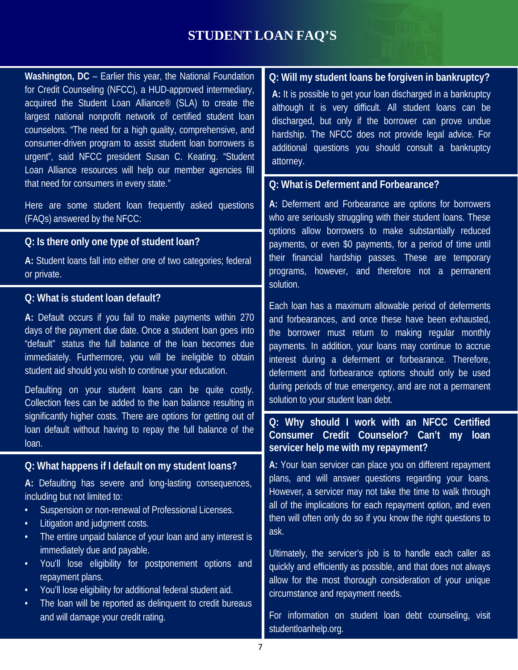# **STUDENT LOAN FAQ'S**

 **Washington, DC** – Earlier this year, the National Foundation for Credit Counseling (NFCC), a HUD-approved intermediary, acquired the Student Loan Alliance® (SLA) to create the largest national nonprofit network of certified student loan counselors. "The need for a high quality, comprehensive, and consumer-driven program to assist student loan borrowers is urgent", said NFCC president Susan C. Keating. "Student Loan Alliance resources will help our member agencies fill that need for consumers in every state."

 Here are some student loan frequently asked questions (FAQs) answered by the NFCC:

#### **Q: Is there only one type of student loan?**

**A:** Student loans fall into either one of two categories; federal or private.

#### **Q: What is student loan default?**

**A:** Default occurs if you fail to make payments within 270 days of the payment due date. Once a student loan goes into "default" status the full balance of the loan becomes due immediately. Furthermore, you will be ineligible to obtain student aid should you wish to continue your education.

Defaulting on your student loans can be quite costly. Collection fees can be added to the loan balance resulting in significantly higher costs. There are options for getting out of loan default without having to repay the full balance of the loan.

#### **Q: What happens if I default on my student loans?**

**A:** Defaulting has severe and long-lasting consequences, including but not limited to:

- Suspension or non-renewal of Professional Licenses.
- Litigation and judgment costs.
- The entire unpaid balance of your loan and any interest is immediately due and payable.
- • You'll lose eligibility for postponement options and repayment plans.
- You'll lose eligibility for additional federal student aid.
- The loan will be reported as delinquent to credit bureaus and will damage your credit rating.

#### **Q: Will my student loans be forgiven in bankruptcy?**

**A:** It is possible to get your loan discharged in a bankruptcy although it is very difficult. All student loans can be discharged, but only if the borrower can prove undue hardship. The NFCC does not provide legal advice. For additional questions you should consult a bankruptcy attorney.

#### **Q: What is Deferment and Forbearance?**

**A:** Deferment and Forbearance are options for borrowers who are seriously struggling with their student loans. These options allow borrowers to make substantially reduced payments, or even \$0 payments, for a period of time until their financial hardship passes. These are temporary programs, however, and therefore not a permanent solution.

Each loan has a maximum allowable period of deferments and forbearances, and once these have been exhausted, the borrower must return to making regular monthly payments. In addition, your loans may continue to accrue interest during a deferment or forbearance. Therefore, deferment and forbearance options should only be used during periods of true emergency, and are not a permanent solution to your student loan debt.

#### **Q: Why should I work with an NFCC Certified Consumer Credit Counselor? Can't my loan servicer help me with my repayment?**

**A:** Your loan servicer can place you on different repayment plans, and will answer questions regarding your loans. However, a servicer may not take the time to walk through all of the implications for each repayment option, and even then will often only do so if you know the right questions to ask.

Ultimately, the servicer's job is to handle each caller as quickly and efficiently as possible, and that does not always allow for the most thorough consideration of your unique circumstance and repayment needs.

 For information on student loan debt counseling, visit [studentloanhelp.org.](http://studentloanhelp.org/)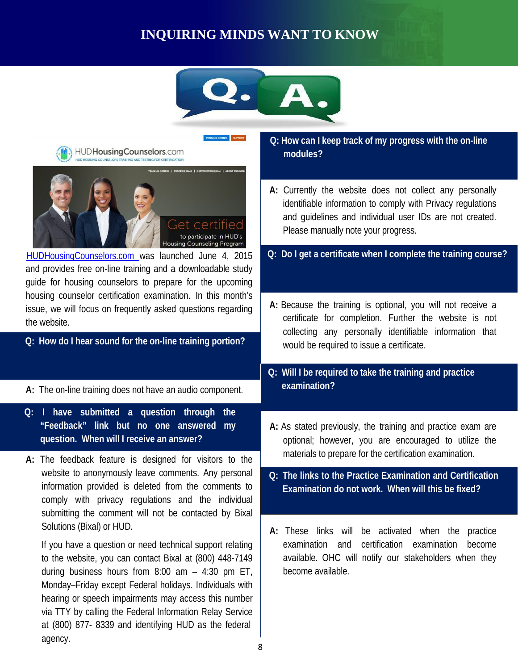# **INQUIRING MINDS WANT TO KNOW**





8

Monday–Friday except Federal holidays. Individuals with hearing or speech impairments may access this number via TTY by calling the Federal Information Relay Service at (800) 877- 8339 and identifying HUD as the federal

agency.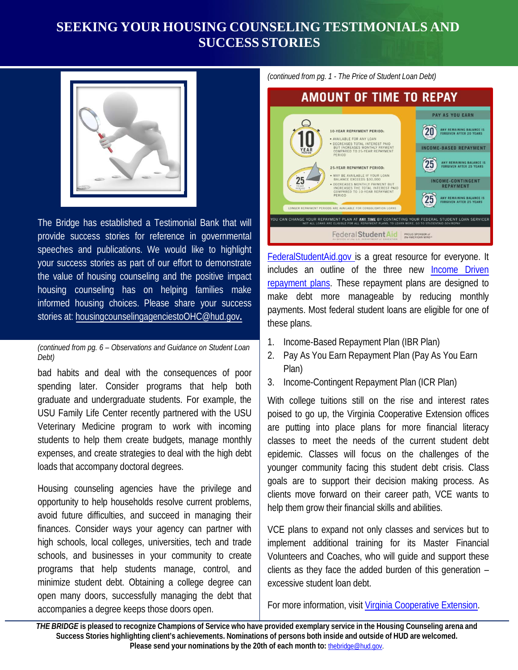# **SEEKING YOUR HOUSING COUNSELING TESTIMONIALS AND SUCCESS STORIES**



 The Bridge has established a Testimonial Bank that will provide success stories for reference in governmental speeches and publications. We would like to highlight your success stories as part of our effort to demonstrate the value of housing counseling and the positive impact housing counseling has on helping families make informed housing choices. Please share your success stories at: [housingcounselingagenciestoOHC@hud.gov](mailto:housingcounselingagenciestoOHC@hud.gov)**.** 

 *(continued from pg. 6 – Observations and Guidance on Student Loan Debt)* 

 bad habits and deal with the consequences of poor spending later. Consider programs that help both graduate and undergraduate students. For example, the USU Family Life Center recently partnered with the USU Veterinary Medicine program to work with incoming students to help them create budgets, manage monthly expenses, and create strategies to deal with the high debt loads that accompany doctoral degrees.

 Housing counseling agencies have the privilege and opportunity to help households resolve current problems, avoid future difficulties, and succeed in managing their finances. Consider ways your agency can partner with high schools, local colleges, universities, tech and trade schools, and businesses in your community to create programs that help students manage, control, and minimize student debt. Obtaining a college degree can open many doors, successfully managing the debt that accompanies a degree keeps those doors open.

 *(continued from pg. 1 - The Price of Student Loan Debt)* 



[FederalStudentAid.gov is](https://studentaid.ed.gov/sa/) a great resource for everyone. It includes an outline of the three new **Income Driven** [repayment plans.](https://studentaid.ed.gov/sa/repay-loans/understand/plans/income-driven) These repayment plans are designed to make debt more manageable by reducing monthly payments. Most federal student loans are eligible for one of these plans.

- 1. Income-Based Repayment Plan (IBR Plan)
- 2. Pay As You Earn Repayment Plan (Pay As You Earn Plan)
- 3. Income-Contingent Repayment Plan (ICR Plan)

 With college tuitions still on the rise and interest rates poised to go up, the Virginia Cooperative Extension offices are putting into place plans for more financial literacy classes to meet the needs of the current student debt epidemic. Classes will focus on the challenges of the younger community facing this student debt crisis. Class goals are to support their decision making process. As clients move forward on their career path, VCE wants to help them grow their financial skills and abilities.

 VCE plans to expand not only classes and services but to implement additional training for its Master Financial Volunteers and Coaches, who will guide and support these clients as they face the added burden of this generation – excessive student loan debt.

For more information, visit [Virginia Cooperative Extension.](http://www.pwcgov.org/government/dept/vce/Pages/Personal-Finance-and-Housing-Counseling.aspx) 

send your nominations by the 20th THEBRIDGE is pleased to recognize Champions of Service who have provided exemplary service in the Housing Counseling arena and<br>Success Stories highlighting client's achievements. Nominations of persons both inside and out Stories highlighting client's achievements. Nominations of persons both inside and outside of HUD are welcomed.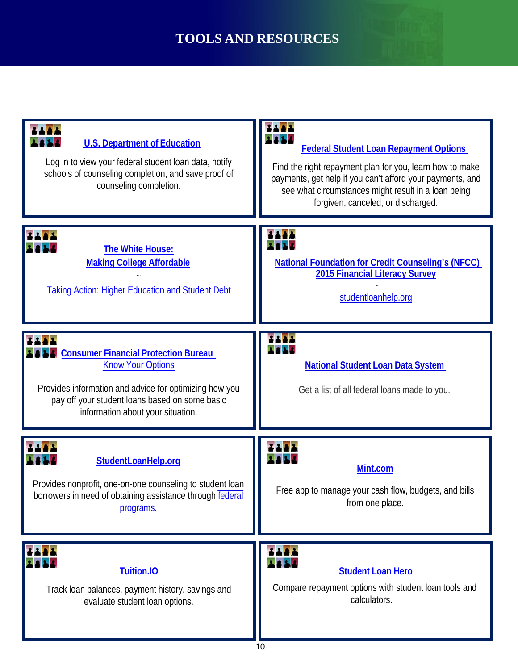# **TOOLS AND RESOURCES**

| <b>U.S. Department of Education</b><br>Log in to view your federal student loan data, notify<br>schools of counseling completion, and save proof of<br>counseling completion.                                            | <b>Federal Student Loan Repayment Options</b><br>Find the right repayment plan for you, learn how to make<br>payments, get help if you can't afford your payments, and<br>see what circumstances might result in a loan being<br>forgiven, canceled, or discharged. |
|--------------------------------------------------------------------------------------------------------------------------------------------------------------------------------------------------------------------------|---------------------------------------------------------------------------------------------------------------------------------------------------------------------------------------------------------------------------------------------------------------------|
| The White House:<br><b>Making College Affordable</b><br><b>Taking Action: Higher Education and Student Debt</b>                                                                                                          | <b>National Foundation for Credit Counseling's (NFCC)</b><br>2015 Financial Literacy Survey<br>studentloanhelp.org                                                                                                                                                  |
| <b>Consumer Financial Protection Bureau</b><br><b>Know Your Options</b><br>Provides information and advice for optimizing how you<br>pay off your student loans based on some basic<br>information about your situation. | <b>National Student Loan Data System</b><br>Get a list of all federal loans made to you.                                                                                                                                                                            |
| StudentLoanHelp.org<br>Provides nonprofit, one-on-one counseling to student loan<br>borrowers in need of obtaining assistance through federal<br>programs.                                                               | Mint.com<br>Free app to manage your cash flow, budgets, and bills<br>from one place.                                                                                                                                                                                |
| Tuition.IO<br>Track loan balances, payment history, savings and<br>evaluate student loan options.                                                                                                                        | <b>Student Loan Hero</b><br>Compare repayment options with student loan tools and<br>calculators.                                                                                                                                                                   |